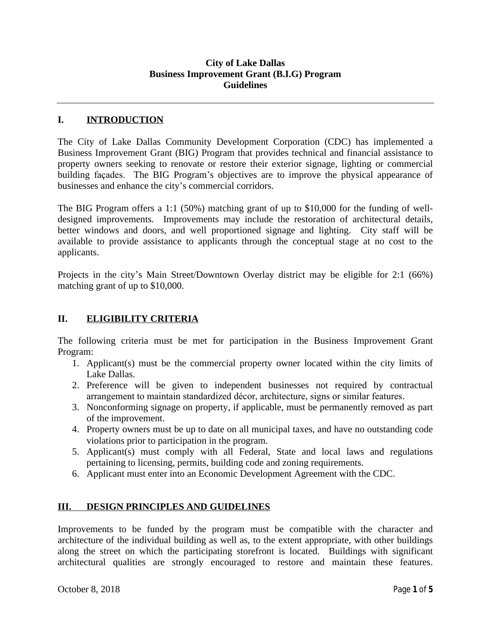#### **City of Lake Dallas Business Improvement Grant (B.I.G) Program Guidelines**

## **I. INTRODUCTION**

The City of Lake Dallas Community Development Corporation (CDC) has implemented a Business Improvement Grant (BIG) Program that provides technical and financial assistance to property owners seeking to renovate or restore their exterior signage, lighting or commercial building façades. The BIG Program's objectives are to improve the physical appearance of businesses and enhance the city's commercial corridors.

The BIG Program offers a 1:1 (50%) matching grant of up to \$10,000 for the funding of welldesigned improvements. Improvements may include the restoration of architectural details, better windows and doors, and well proportioned signage and lighting. City staff will be available to provide assistance to applicants through the conceptual stage at no cost to the applicants.

Projects in the city's Main Street/Downtown Overlay district may be eligible for 2:1 (66%) matching grant of up to \$10,000.

## **II. ELIGIBILITY CRITERIA**

The following criteria must be met for participation in the Business Improvement Grant Program:

- 1. Applicant(s) must be the commercial property owner located within the city limits of Lake Dallas.
- 2. Preference will be given to independent businesses not required by contractual arrangement to maintain standardized décor, architecture, signs or similar features.
- 3. Nonconforming signage on property, if applicable, must be permanently removed as part of the improvement.
- 4. Property owners must be up to date on all municipal taxes, and have no outstanding code violations prior to participation in the program.
- 5. Applicant(s) must comply with all Federal, State and local laws and regulations pertaining to licensing, permits, building code and zoning requirements.
- 6. Applicant must enter into an Economic Development Agreement with the CDC.

### **III. DESIGN PRINCIPLES AND GUIDELINES**

Improvements to be funded by the program must be compatible with the character and architecture of the individual building as well as, to the extent appropriate, with other buildings along the street on which the participating storefront is located. Buildings with significant architectural qualities are strongly encouraged to restore and maintain these features.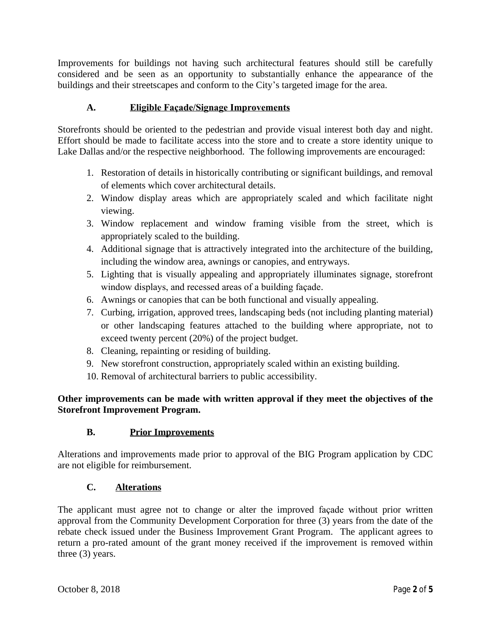Improvements for buildings not having such architectural features should still be carefully considered and be seen as an opportunity to substantially enhance the appearance of the buildings and their streetscapes and conform to the City's targeted image for the area.

# **A. Eligible Façade/Signage Improvements**

Storefronts should be oriented to the pedestrian and provide visual interest both day and night. Effort should be made to facilitate access into the store and to create a store identity unique to Lake Dallas and/or the respective neighborhood. The following improvements are encouraged:

- 1. Restoration of details in historically contributing or significant buildings, and removal of elements which cover architectural details.
- 2. Window display areas which are appropriately scaled and which facilitate night viewing.
- 3. Window replacement and window framing visible from the street, which is appropriately scaled to the building.
- 4. Additional signage that is attractively integrated into the architecture of the building, including the window area, awnings or canopies, and entryways.
- 5. Lighting that is visually appealing and appropriately illuminates signage, storefront window displays, and recessed areas of a building façade.
- 6. Awnings or canopies that can be both functional and visually appealing.
- 7. Curbing, irrigation, approved trees, landscaping beds (not including planting material) or other landscaping features attached to the building where appropriate, not to exceed twenty percent (20%) of the project budget.
- 8. Cleaning, repainting or residing of building.
- 9. New storefront construction, appropriately scaled within an existing building.
- 10. Removal of architectural barriers to public accessibility.

**Other improvements can be made with written approval if they meet the objectives of the Storefront Improvement Program.**

### **B. Prior Improvements**

Alterations and improvements made prior to approval of the BIG Program application by CDC are not eligible for reimbursement.

### **C. Alterations**

The applicant must agree not to change or alter the improved façade without prior written approval from the Community Development Corporation for three (3) years from the date of the rebate check issued under the Business Improvement Grant Program. The applicant agrees to return a pro-rated amount of the grant money received if the improvement is removed within three (3) years.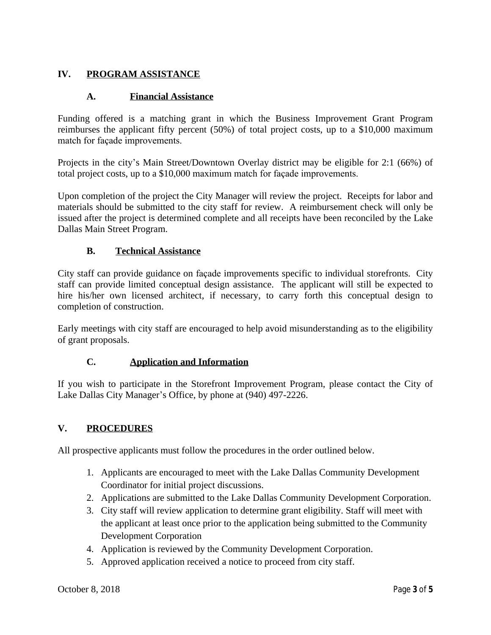# **IV. PROGRAM ASSISTANCE**

#### **A. Financial Assistance**

Funding offered is a matching grant in which the Business Improvement Grant Program reimburses the applicant fifty percent (50%) of total project costs, up to a \$10,000 maximum match for façade improvements.

Projects in the city's Main Street/Downtown Overlay district may be eligible for 2:1 (66%) of total project costs, up to a \$10,000 maximum match for façade improvements.

Upon completion of the project the City Manager will review the project. Receipts for labor and materials should be submitted to the city staff for review. A reimbursement check will only be issued after the project is determined complete and all receipts have been reconciled by the Lake Dallas Main Street Program.

#### **B. Technical Assistance**

City staff can provide guidance on façade improvements specific to individual storefronts. City staff can provide limited conceptual design assistance. The applicant will still be expected to hire his/her own licensed architect, if necessary, to carry forth this conceptual design to completion of construction.

Early meetings with city staff are encouraged to help avoid misunderstanding as to the eligibility of grant proposals.

### **C. Application and Information**

If you wish to participate in the Storefront Improvement Program, please contact the City of Lake Dallas City Manager's Office, by phone at (940) 497-2226.

### **V. PROCEDURES**

All prospective applicants must follow the procedures in the order outlined below.

- 1. Applicants are encouraged to meet with the Lake Dallas Community Development Coordinator for initial project discussions.
- 2. Applications are submitted to the Lake Dallas Community Development Corporation.
- 3. City staff will review application to determine grant eligibility. Staff will meet with the applicant at least once prior to the application being submitted to the Community Development Corporation
- 4. Application is reviewed by the Community Development Corporation.
- 5. Approved application received a notice to proceed from city staff.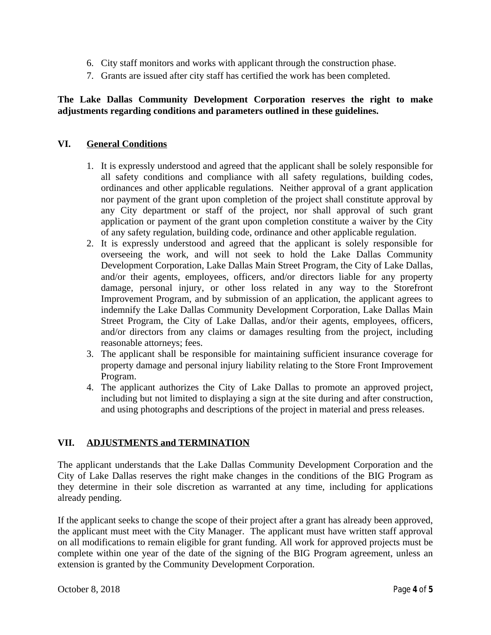- 6. City staff monitors and works with applicant through the construction phase.
- 7. Grants are issued after city staff has certified the work has been completed.

## **The Lake Dallas Community Development Corporation reserves the right to make adjustments regarding conditions and parameters outlined in these guidelines.**

#### **VI. General Conditions**

- 1. It is expressly understood and agreed that the applicant shall be solely responsible for all safety conditions and compliance with all safety regulations, building codes, ordinances and other applicable regulations. Neither approval of a grant application nor payment of the grant upon completion of the project shall constitute approval by any City department or staff of the project, nor shall approval of such grant application or payment of the grant upon completion constitute a waiver by the City of any safety regulation, building code, ordinance and other applicable regulation.
- 2. It is expressly understood and agreed that the applicant is solely responsible for overseeing the work, and will not seek to hold the Lake Dallas Community Development Corporation, Lake Dallas Main Street Program, the City of Lake Dallas, and/or their agents, employees, officers, and/or directors liable for any property damage, personal injury, or other loss related in any way to the Storefront Improvement Program, and by submission of an application, the applicant agrees to indemnify the Lake Dallas Community Development Corporation, Lake Dallas Main Street Program, the City of Lake Dallas, and/or their agents, employees, officers, and/or directors from any claims or damages resulting from the project, including reasonable attorneys; fees.
- 3. The applicant shall be responsible for maintaining sufficient insurance coverage for property damage and personal injury liability relating to the Store Front Improvement Program.
- 4. The applicant authorizes the City of Lake Dallas to promote an approved project, including but not limited to displaying a sign at the site during and after construction, and using photographs and descriptions of the project in material and press releases.

### **VII. ADJUSTMENTS and TERMINATION**

The applicant understands that the Lake Dallas Community Development Corporation and the City of Lake Dallas reserves the right make changes in the conditions of the BIG Program as they determine in their sole discretion as warranted at any time, including for applications already pending.

If the applicant seeks to change the scope of their project after a grant has already been approved, the applicant must meet with the City Manager. The applicant must have written staff approval on all modifications to remain eligible for grant funding. All work for approved projects must be complete within one year of the date of the signing of the BIG Program agreement, unless an extension is granted by the Community Development Corporation.